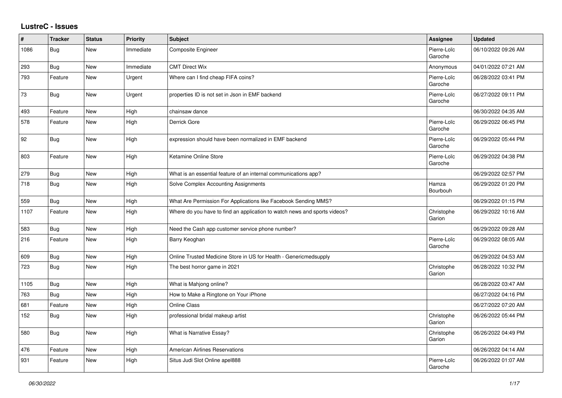## **LustreC - Issues**

| #    | <b>Tracker</b> | <b>Status</b> | <b>Priority</b> | <b>Subject</b>                                                            | <b>Assignee</b>        | <b>Updated</b>      |
|------|----------------|---------------|-----------------|---------------------------------------------------------------------------|------------------------|---------------------|
| 1086 | Bug            | New           | Immediate       | Composite Engineer                                                        | Pierre-Loïc<br>Garoche | 06/10/2022 09:26 AM |
| 293  | Bug            | New           | Immediate       | <b>CMT Direct Wix</b>                                                     | Anonymous              | 04/01/2022 07:21 AM |
| 793  | Feature        | <b>New</b>    | Urgent          | Where can I find cheap FIFA coins?                                        | Pierre-Loïc<br>Garoche | 06/28/2022 03:41 PM |
| 73   | Bug            | New           | Urgent          | properties ID is not set in Json in EMF backend                           | Pierre-Loïc<br>Garoche | 06/27/2022 09:11 PM |
| 493  | Feature        | <b>New</b>    | High            | chainsaw dance                                                            |                        | 06/30/2022 04:35 AM |
| 578  | Feature        | <b>New</b>    | High            | Derrick Gore                                                              | Pierre-Loïc<br>Garoche | 06/29/2022 06:45 PM |
| 92   | Bug            | New           | High            | expression should have been normalized in EMF backend                     | Pierre-Loïc<br>Garoche | 06/29/2022 05:44 PM |
| 803  | Feature        | New           | High            | Ketamine Online Store                                                     | Pierre-Loïc<br>Garoche | 06/29/2022 04:38 PM |
| 279  | Bug            | <b>New</b>    | High            | What is an essential feature of an internal communications app?           |                        | 06/29/2022 02:57 PM |
| 718  | Bug            | New           | High            | Solve Complex Accounting Assignments                                      | Hamza<br>Bourbouh      | 06/29/2022 01:20 PM |
| 559  | Bug            | New           | High            | What Are Permission For Applications like Facebook Sending MMS?           |                        | 06/29/2022 01:15 PM |
| 1107 | Feature        | New           | High            | Where do you have to find an application to watch news and sports videos? | Christophe<br>Garion   | 06/29/2022 10:16 AM |
| 583  | Bug            | New           | High            | Need the Cash app customer service phone number?                          |                        | 06/29/2022 09:28 AM |
| 216  | Feature        | New           | High            | Barry Keoghan                                                             | Pierre-Loïc<br>Garoche | 06/29/2022 08:05 AM |
| 609  | Bug            | <b>New</b>    | High            | Online Trusted Medicine Store in US for Health - Genericmedsupply         |                        | 06/29/2022 04:53 AM |
| 723  | Bug            | <b>New</b>    | High            | The best horror game in 2021                                              | Christophe<br>Garion   | 06/28/2022 10:32 PM |
| 1105 | Bug            | New           | High            | What is Mahjong online?                                                   |                        | 06/28/2022 03:47 AM |
| 763  | Bug            | <b>New</b>    | High            | How to Make a Ringtone on Your iPhone                                     |                        | 06/27/2022 04:16 PM |
| 681  | Feature        | New           | High            | Online Class                                                              |                        | 06/27/2022 07:20 AM |
| 152  | Bug            | New           | High            | professional bridal makeup artist                                         | Christophe<br>Garion   | 06/26/2022 05:44 PM |
| 580  | Bug            | <b>New</b>    | High            | What is Narrative Essay?                                                  | Christophe<br>Garion   | 06/26/2022 04:49 PM |
| 476  | Feature        | <b>New</b>    | High            | <b>American Airlines Reservations</b>                                     |                        | 06/26/2022 04:14 AM |
| 931  | Feature        | <b>New</b>    | High            | Situs Judi Slot Online apel888                                            | Pierre-Loïc<br>Garoche | 06/26/2022 01:07 AM |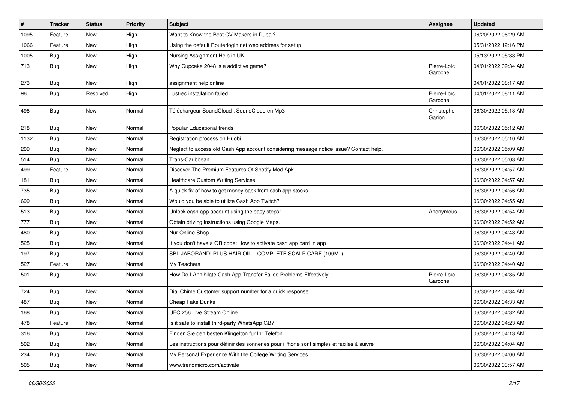| $\sharp$ | <b>Tracker</b> | <b>Status</b> | <b>Priority</b> | Subject                                                                                  | <b>Assignee</b>        | <b>Updated</b>      |
|----------|----------------|---------------|-----------------|------------------------------------------------------------------------------------------|------------------------|---------------------|
| 1095     | Feature        | New           | High            | Want to Know the Best CV Makers in Dubai?                                                |                        | 06/20/2022 06:29 AM |
| 1066     | Feature        | <b>New</b>    | High            | Using the default Routerlogin.net web address for setup                                  |                        | 05/31/2022 12:16 PM |
| 1005     | <b>Bug</b>     | New           | High            | Nursing Assignment Help in UK                                                            |                        | 05/13/2022 05:33 PM |
| 713      | Bug            | New           | High            | Why Cupcake 2048 is a addictive game?                                                    | Pierre-Loïc<br>Garoche | 04/01/2022 09:34 AM |
| 273      | Bug            | New           | High            | assignment help online                                                                   |                        | 04/01/2022 08:17 AM |
| 96       | Bug            | Resolved      | High            | Lustrec installation failed                                                              | Pierre-Loïc<br>Garoche | 04/01/2022 08:11 AM |
| 498      | Bug            | New           | Normal          | Téléchargeur SoundCloud : SoundCloud en Mp3                                              | Christophe<br>Garion   | 06/30/2022 05:13 AM |
| 218      | Bug            | New           | Normal          | Popular Educational trends                                                               |                        | 06/30/2022 05:12 AM |
| 1132     | Bug            | New           | Normal          | Registration process on Huobi                                                            |                        | 06/30/2022 05:10 AM |
| 209      | Bug            | New           | Normal          | Neglect to access old Cash App account considering message notice issue? Contact help.   |                        | 06/30/2022 05:09 AM |
| 514      | Bug            | New           | Normal          | Trans-Caribbean                                                                          |                        | 06/30/2022 05:03 AM |
| 499      | Feature        | New           | Normal          | Discover The Premium Features Of Spotify Mod Apk                                         |                        | 06/30/2022 04:57 AM |
| 181      | Bug            | New           | Normal          | <b>Healthcare Custom Writing Services</b>                                                |                        | 06/30/2022 04:57 AM |
| 735      | Bug            | New           | Normal          | A quick fix of how to get money back from cash app stocks                                |                        | 06/30/2022 04:56 AM |
| 699      | Bug            | New           | Normal          | Would you be able to utilize Cash App Twitch?                                            |                        | 06/30/2022 04:55 AM |
| 513      | Bug            | New           | Normal          | Unlock cash app account using the easy steps:                                            | Anonymous              | 06/30/2022 04:54 AM |
| 777      | <b>Bug</b>     | New           | Normal          | Obtain driving instructions using Google Maps.                                           |                        | 06/30/2022 04:52 AM |
| 480      | Bug            | New           | Normal          | Nur Online Shop                                                                          |                        | 06/30/2022 04:43 AM |
| 525      | Bug            | New           | Normal          | If you don't have a QR code: How to activate cash app card in app                        |                        | 06/30/2022 04:41 AM |
| 197      | <b>Bug</b>     | New           | Normal          | SBL JABORANDI PLUS HAIR OIL - COMPLETE SCALP CARE (100ML)                                |                        | 06/30/2022 04:40 AM |
| 527      | Feature        | New           | Normal          | My Teachers                                                                              |                        | 06/30/2022 04:40 AM |
| 501      | <b>Bug</b>     | New           | Normal          | How Do I Annihilate Cash App Transfer Failed Problems Effectively                        | Pierre-Loïc<br>Garoche | 06/30/2022 04:35 AM |
| 724      | Bug            | New           | Normal          | Dial Chime Customer support number for a quick response                                  |                        | 06/30/2022 04:34 AM |
| 487      | <b>Bug</b>     | New           | Normal          | Cheap Fake Dunks                                                                         |                        | 06/30/2022 04:33 AM |
| 168      | <b>Bug</b>     | New           | Normal          | UFC 256 Live Stream Online                                                               |                        | 06/30/2022 04:32 AM |
| 478      | Feature        | New           | Normal          | Is it safe to install third-party WhatsApp GB?                                           |                        | 06/30/2022 04:23 AM |
| 316      | <b>Bug</b>     | New           | Normal          | Finden Sie den besten Klingelton für Ihr Telefon                                         |                        | 06/30/2022 04:13 AM |
| 502      | <b>Bug</b>     | New           | Normal          | Les instructions pour définir des sonneries pour iPhone sont simples et faciles à suivre |                        | 06/30/2022 04:04 AM |
| 234      | Bug            | New           | Normal          | My Personal Experience With the College Writing Services                                 |                        | 06/30/2022 04:00 AM |
| 505      | <b>Bug</b>     | New           | Normal          | www.trendmicro.com/activate                                                              |                        | 06/30/2022 03:57 AM |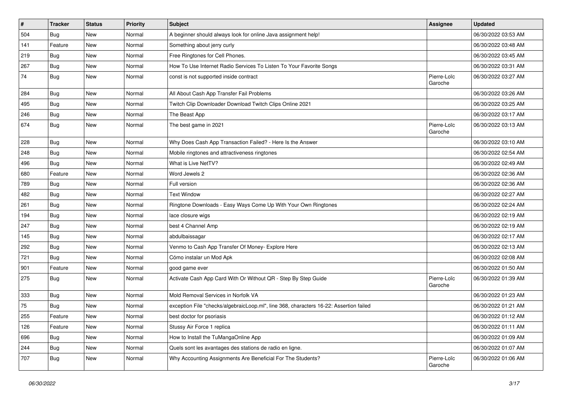| $\vert$ # | <b>Tracker</b> | <b>Status</b> | <b>Priority</b> | Subject                                                                                | <b>Assignee</b>        | <b>Updated</b>      |
|-----------|----------------|---------------|-----------------|----------------------------------------------------------------------------------------|------------------------|---------------------|
| 504       | Bug            | New           | Normal          | A beginner should always look for online Java assignment help!                         |                        | 06/30/2022 03:53 AM |
| 141       | Feature        | <b>New</b>    | Normal          | Something about jerry curly                                                            |                        | 06/30/2022 03:48 AM |
| 219       | Bug            | New           | Normal          | Free Ringtones for Cell Phones.                                                        |                        | 06/30/2022 03:45 AM |
| 267       | Bug            | <b>New</b>    | Normal          | How To Use Internet Radio Services To Listen To Your Favorite Songs                    |                        | 06/30/2022 03:31 AM |
| 74        | Bug            | New           | Normal          | const is not supported inside contract                                                 | Pierre-Loïc<br>Garoche | 06/30/2022 03:27 AM |
| 284       | <b>Bug</b>     | <b>New</b>    | Normal          | All About Cash App Transfer Fail Problems                                              |                        | 06/30/2022 03:26 AM |
| 495       | Bug            | New           | Normal          | Twitch Clip Downloader Download Twitch Clips Online 2021                               |                        | 06/30/2022 03:25 AM |
| 246       | <b>Bug</b>     | New           | Normal          | The Beast App                                                                          |                        | 06/30/2022 03:17 AM |
| 674       | <b>Bug</b>     | New           | Normal          | The best game in 2021                                                                  | Pierre-Loïc<br>Garoche | 06/30/2022 03:13 AM |
| 228       | Bug            | <b>New</b>    | Normal          | Why Does Cash App Transaction Failed? - Here Is the Answer                             |                        | 06/30/2022 03:10 AM |
| 248       | Bug            | New           | Normal          | Mobile ringtones and attractiveness ringtones                                          |                        | 06/30/2022 02:54 AM |
| 496       | Bug            | New           | Normal          | What is Live NetTV?                                                                    |                        | 06/30/2022 02:49 AM |
| 680       | Feature        | <b>New</b>    | Normal          | Word Jewels 2                                                                          |                        | 06/30/2022 02:36 AM |
| 789       | Bug            | New           | Normal          | Full version                                                                           |                        | 06/30/2022 02:36 AM |
| 482       | Bug            | New           | Normal          | <b>Text Window</b>                                                                     |                        | 06/30/2022 02:27 AM |
| 261       | Bug            | New           | Normal          | Ringtone Downloads - Easy Ways Come Up With Your Own Ringtones                         |                        | 06/30/2022 02:24 AM |
| 194       | <b>Bug</b>     | New           | Normal          | lace closure wigs                                                                      |                        | 06/30/2022 02:19 AM |
| 247       | Bug            | <b>New</b>    | Normal          | best 4 Channel Amp                                                                     |                        | 06/30/2022 02:19 AM |
| 145       | <b>Bug</b>     | New           | Normal          | abdulbaissagar                                                                         |                        | 06/30/2022 02:17 AM |
| 292       | Bug            | New           | Normal          | Venmo to Cash App Transfer Of Money- Explore Here                                      |                        | 06/30/2022 02:13 AM |
| 721       | Bug            | <b>New</b>    | Normal          | Cómo instalar un Mod Apk                                                               |                        | 06/30/2022 02:08 AM |
| 901       | Feature        | New           | Normal          | good game ever                                                                         |                        | 06/30/2022 01:50 AM |
| 275       | Bug            | New           | Normal          | Activate Cash App Card With Or Without QR - Step By Step Guide                         | Pierre-Loïc<br>Garoche | 06/30/2022 01:39 AM |
| 333       | <b>Bug</b>     | New           | Normal          | Mold Removal Services in Norfolk VA                                                    |                        | 06/30/2022 01:23 AM |
| 75        | <b>Bug</b>     | New           | Normal          | exception File "checks/algebraicLoop.ml", line 368, characters 16-22: Assertion failed |                        | 06/30/2022 01:21 AM |
| 255       | Feature        | New           | Normal          | best doctor for psoriasis                                                              |                        | 06/30/2022 01:12 AM |
| 126       | Feature        | New           | Normal          | Stussy Air Force 1 replica                                                             |                        | 06/30/2022 01:11 AM |
| 696       | Bug            | New           | Normal          | How to Install the TuMangaOnline App                                                   |                        | 06/30/2022 01:09 AM |
| 244       | <b>Bug</b>     | New           | Normal          | Quels sont les avantages des stations de radio en ligne.                               |                        | 06/30/2022 01:07 AM |
| 707       | <b>Bug</b>     | New           | Normal          | Why Accounting Assignments Are Beneficial For The Students?                            | Pierre-Loïc<br>Garoche | 06/30/2022 01:06 AM |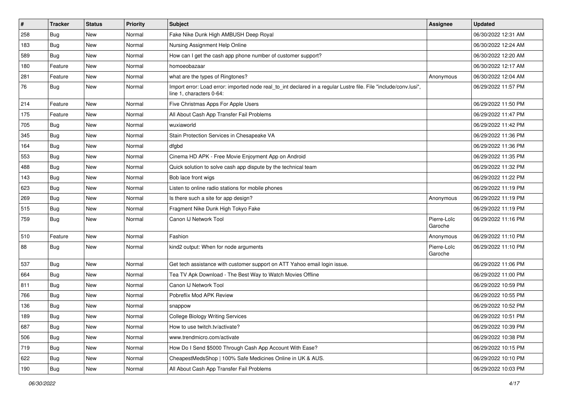| #   | <b>Tracker</b> | <b>Status</b> | <b>Priority</b> | Subject                                                                                                                                      | <b>Assignee</b>        | <b>Updated</b>      |
|-----|----------------|---------------|-----------------|----------------------------------------------------------------------------------------------------------------------------------------------|------------------------|---------------------|
| 258 | Bug            | New           | Normal          | Fake Nike Dunk High AMBUSH Deep Royal                                                                                                        |                        | 06/30/2022 12:31 AM |
| 183 | Bug            | <b>New</b>    | Normal          | Nursing Assignment Help Online                                                                                                               |                        | 06/30/2022 12:24 AM |
| 589 | Bug            | New           | Normal          | How can I get the cash app phone number of customer support?                                                                                 |                        | 06/30/2022 12:20 AM |
| 180 | Feature        | New           | Normal          | homoeobazaar                                                                                                                                 |                        | 06/30/2022 12:17 AM |
| 281 | Feature        | New           | Normal          | what are the types of Ringtones?                                                                                                             | Anonymous              | 06/30/2022 12:04 AM |
| 76  | <b>Bug</b>     | New           | Normal          | Import error: Load error: imported node real to int declared in a regular Lustre file. File "include/conv.lusi",<br>line 1, characters 0-64: |                        | 06/29/2022 11:57 PM |
| 214 | Feature        | New           | Normal          | Five Christmas Apps For Apple Users                                                                                                          |                        | 06/29/2022 11:50 PM |
| 175 | Feature        | New           | Normal          | All About Cash App Transfer Fail Problems                                                                                                    |                        | 06/29/2022 11:47 PM |
| 705 | Bug            | New           | Normal          | wuxiaworld                                                                                                                                   |                        | 06/29/2022 11:42 PM |
| 345 | Bug            | New           | Normal          | Stain Protection Services in Chesapeake VA                                                                                                   |                        | 06/29/2022 11:36 PM |
| 164 | Bug            | New           | Normal          | dfgbd                                                                                                                                        |                        | 06/29/2022 11:36 PM |
| 553 | Bug            | New           | Normal          | Cinema HD APK - Free Movie Enjoyment App on Android                                                                                          |                        | 06/29/2022 11:35 PM |
| 488 | Bug            | New           | Normal          | Quick solution to solve cash app dispute by the technical team                                                                               |                        | 06/29/2022 11:32 PM |
| 143 | Bug            | <b>New</b>    | Normal          | Bob lace front wigs                                                                                                                          |                        | 06/29/2022 11:22 PM |
| 623 | Bug            | New           | Normal          | Listen to online radio stations for mobile phones                                                                                            |                        | 06/29/2022 11:19 PM |
| 269 | Bug            | New           | Normal          | Is there such a site for app design?                                                                                                         | Anonymous              | 06/29/2022 11:19 PM |
| 515 | Bug            | New           | Normal          | Fragment Nike Dunk High Tokyo Fake                                                                                                           |                        | 06/29/2022 11:19 PM |
| 759 | <b>Bug</b>     | New           | Normal          | Canon IJ Network Tool                                                                                                                        | Pierre-Loïc<br>Garoche | 06/29/2022 11:16 PM |
| 510 | Feature        | <b>New</b>    | Normal          | Fashion                                                                                                                                      | Anonymous              | 06/29/2022 11:10 PM |
| 88  | Bug            | New           | Normal          | kind2 output: When for node arguments                                                                                                        | Pierre-Loïc<br>Garoche | 06/29/2022 11:10 PM |
| 537 | Bug            | New           | Normal          | Get tech assistance with customer support on ATT Yahoo email login issue.                                                                    |                        | 06/29/2022 11:06 PM |
| 664 | <b>Bug</b>     | New           | Normal          | Tea TV Apk Download - The Best Way to Watch Movies Offline                                                                                   |                        | 06/29/2022 11:00 PM |
| 811 | Bug            | New           | Normal          | Canon IJ Network Tool                                                                                                                        |                        | 06/29/2022 10:59 PM |
| 766 | Bug            | New           | Normal          | Pobreflix Mod APK Review                                                                                                                     |                        | 06/29/2022 10:55 PM |
| 136 | <b>Bug</b>     | New           | Normal          | snappow                                                                                                                                      |                        | 06/29/2022 10:52 PM |
| 189 | Bug            | New           | Normal          | <b>College Biology Writing Services</b>                                                                                                      |                        | 06/29/2022 10:51 PM |
| 687 | Bug            | New           | Normal          | How to use twitch.tv/activate?                                                                                                               |                        | 06/29/2022 10:39 PM |
| 506 | Bug            | New           | Normal          | www.trendmicro.com/activate                                                                                                                  |                        | 06/29/2022 10:38 PM |
| 719 | <b>Bug</b>     | New           | Normal          | How Do I Send \$5000 Through Cash App Account With Ease?                                                                                     |                        | 06/29/2022 10:15 PM |
| 622 | Bug            | New           | Normal          | CheapestMedsShop   100% Safe Medicines Online in UK & AUS.                                                                                   |                        | 06/29/2022 10:10 PM |
| 190 | <b>Bug</b>     | New           | Normal          | All About Cash App Transfer Fail Problems                                                                                                    |                        | 06/29/2022 10:03 PM |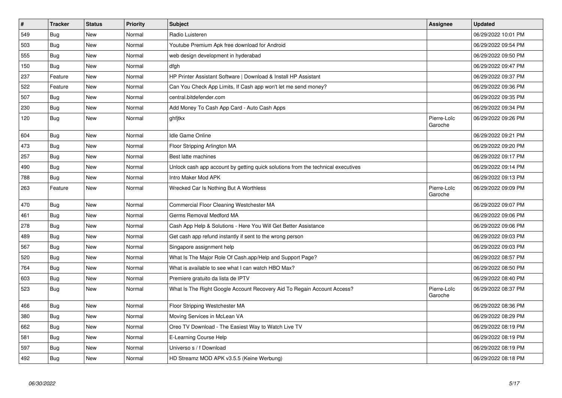| $\vert$ # | <b>Tracker</b> | <b>Status</b> | Priority | <b>Subject</b>                                                                   | Assignee               | <b>Updated</b>      |
|-----------|----------------|---------------|----------|----------------------------------------------------------------------------------|------------------------|---------------------|
| 549       | Bug            | <b>New</b>    | Normal   | Radio Luisteren                                                                  |                        | 06/29/2022 10:01 PM |
| 503       | <b>Bug</b>     | <b>New</b>    | Normal   | Youtube Premium Apk free download for Android                                    |                        | 06/29/2022 09:54 PM |
| 555       | Bug            | <b>New</b>    | Normal   | web design development in hyderabad                                              |                        | 06/29/2022 09:50 PM |
| 150       | <b>Bug</b>     | New           | Normal   | dfgh                                                                             |                        | 06/29/2022 09:47 PM |
| 237       | Feature        | New           | Normal   | HP Printer Assistant Software   Download & Install HP Assistant                  |                        | 06/29/2022 09:37 PM |
| 522       | Feature        | <b>New</b>    | Normal   | Can You Check App Limits, If Cash app won't let me send money?                   |                        | 06/29/2022 09:36 PM |
| 507       | Bug            | New           | Normal   | central.bitdefender.com                                                          |                        | 06/29/2022 09:35 PM |
| 230       | <b>Bug</b>     | <b>New</b>    | Normal   | Add Money To Cash App Card - Auto Cash Apps                                      |                        | 06/29/2022 09:34 PM |
| 120       | Bug            | <b>New</b>    | Normal   | ghfitkx                                                                          | Pierre-Loïc<br>Garoche | 06/29/2022 09:26 PM |
| 604       | <b>Bug</b>     | <b>New</b>    | Normal   | <b>Idle Game Online</b>                                                          |                        | 06/29/2022 09:21 PM |
| 473       | Bug            | New           | Normal   | Floor Stripping Arlington MA                                                     |                        | 06/29/2022 09:20 PM |
| 257       | Bug            | <b>New</b>    | Normal   | Best latte machines                                                              |                        | 06/29/2022 09:17 PM |
| 490       | <b>Bug</b>     | New           | Normal   | Unlock cash app account by getting quick solutions from the technical executives |                        | 06/29/2022 09:14 PM |
| 788       | <b>Bug</b>     | <b>New</b>    | Normal   | Intro Maker Mod APK                                                              |                        | 06/29/2022 09:13 PM |
| 263       | Feature        | <b>New</b>    | Normal   | Wrecked Car Is Nothing But A Worthless                                           | Pierre-Loïc<br>Garoche | 06/29/2022 09:09 PM |
| 470       | Bug            | New           | Normal   | Commercial Floor Cleaning Westchester MA                                         |                        | 06/29/2022 09:07 PM |
| 461       | Bug            | <b>New</b>    | Normal   | Germs Removal Medford MA                                                         |                        | 06/29/2022 09:06 PM |
| 278       | <b>Bug</b>     | <b>New</b>    | Normal   | Cash App Help & Solutions - Here You Will Get Better Assistance                  |                        | 06/29/2022 09:06 PM |
| 489       | Bug            | <b>New</b>    | Normal   | Get cash app refund instantly if sent to the wrong person                        |                        | 06/29/2022 09:03 PM |
| 567       | Bug            | <b>New</b>    | Normal   | Singapore assignment help                                                        |                        | 06/29/2022 09:03 PM |
| 520       | <b>Bug</b>     | <b>New</b>    | Normal   | What Is The Major Role Of Cash.app/Help and Support Page?                        |                        | 06/29/2022 08:57 PM |
| 764       | Bug            | <b>New</b>    | Normal   | What is available to see what I can watch HBO Max?                               |                        | 06/29/2022 08:50 PM |
| 603       | <b>Bug</b>     | <b>New</b>    | Normal   | Premiere gratuito da lista de IPTV                                               |                        | 06/29/2022 08:40 PM |
| 523       | Bug            | <b>New</b>    | Normal   | What Is The Right Google Account Recovery Aid To Regain Account Access?          | Pierre-Loïc<br>Garoche | 06/29/2022 08:37 PM |
| 466       | <b>Bug</b>     | <b>New</b>    | Normal   | Floor Stripping Westchester MA                                                   |                        | 06/29/2022 08:36 PM |
| 380       | Bug            | <b>New</b>    | Normal   | Moving Services in McLean VA                                                     |                        | 06/29/2022 08:29 PM |
| 662       | Bug            | <b>New</b>    | Normal   | Oreo TV Download - The Easiest Way to Watch Live TV                              |                        | 06/29/2022 08:19 PM |
| 581       | Bug            | <b>New</b>    | Normal   | E-Learning Course Help                                                           |                        | 06/29/2022 08:19 PM |
| 597       | Bug            | <b>New</b>    | Normal   | Universo s / f Download                                                          |                        | 06/29/2022 08:19 PM |
| 492       | <b>Bug</b>     | <b>New</b>    | Normal   | HD Streamz MOD APK v3.5.5 (Keine Werbung)                                        |                        | 06/29/2022 08:18 PM |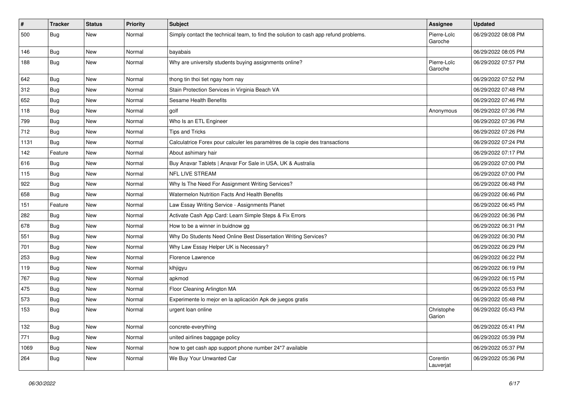| $\vert$ # | <b>Tracker</b> | <b>Status</b> | <b>Priority</b> | <b>Subject</b>                                                                       | Assignee               | <b>Updated</b>      |
|-----------|----------------|---------------|-----------------|--------------------------------------------------------------------------------------|------------------------|---------------------|
| 500       | Bug            | New           | Normal          | Simply contact the technical team, to find the solution to cash app refund problems. | Pierre-Loïc<br>Garoche | 06/29/2022 08:08 PM |
| 146       | Bug            | New           | Normal          | bayabais                                                                             |                        | 06/29/2022 08:05 PM |
| 188       | Bug            | New           | Normal          | Why are university students buying assignments online?                               | Pierre-Loïc<br>Garoche | 06/29/2022 07:57 PM |
| 642       | Bug            | New           | Normal          | thong tin thoi tiet ngay hom nay                                                     |                        | 06/29/2022 07:52 PM |
| 312       | Bug            | <b>New</b>    | Normal          | Stain Protection Services in Virginia Beach VA                                       |                        | 06/29/2022 07:48 PM |
| 652       | Bug            | <b>New</b>    | Normal          | Sesame Health Benefits                                                               |                        | 06/29/2022 07:46 PM |
| 118       | Bug            | New           | Normal          | golf                                                                                 | Anonymous              | 06/29/2022 07:36 PM |
| 799       | Bug            | <b>New</b>    | Normal          | Who Is an ETL Engineer                                                               |                        | 06/29/2022 07:36 PM |
| 712       | Bug            | New           | Normal          | Tips and Tricks                                                                      |                        | 06/29/2022 07:26 PM |
| 1131      | Bug            | <b>New</b>    | Normal          | Calculatrice Forex pour calculer les paramètres de la copie des transactions         |                        | 06/29/2022 07:24 PM |
| 142       | Feature        | <b>New</b>    | Normal          | About ashimary hair                                                                  |                        | 06/29/2022 07:17 PM |
| 616       | <b>Bug</b>     | New           | Normal          | Buy Anavar Tablets   Anavar For Sale in USA, UK & Australia                          |                        | 06/29/2022 07:00 PM |
| 115       | Bug            | New           | Normal          | NFL LIVE STREAM                                                                      |                        | 06/29/2022 07:00 PM |
| 922       | Bug            | <b>New</b>    | Normal          | Why Is The Need For Assignment Writing Services?                                     |                        | 06/29/2022 06:48 PM |
| 658       | Bug            | <b>New</b>    | Normal          | Watermelon Nutrition Facts And Health Benefits                                       |                        | 06/29/2022 06:46 PM |
| 151       | Feature        | New           | Normal          | Law Essay Writing Service - Assignments Planet                                       |                        | 06/29/2022 06:45 PM |
| 282       | Bug            | New           | Normal          | Activate Cash App Card: Learn Simple Steps & Fix Errors                              |                        | 06/29/2022 06:36 PM |
| 678       | Bug            | New           | Normal          | How to be a winner in buidnow gg                                                     |                        | 06/29/2022 06:31 PM |
| 551       | Bug            | <b>New</b>    | Normal          | Why Do Students Need Online Best Dissertation Writing Services?                      |                        | 06/29/2022 06:30 PM |
| 701       | Bug            | New           | Normal          | Why Law Essay Helper UK is Necessary?                                                |                        | 06/29/2022 06:29 PM |
| 253       | <b>Bug</b>     | <b>New</b>    | Normal          | Florence Lawrence                                                                    |                        | 06/29/2022 06:22 PM |
| 119       | Bug            | New           | Normal          | klhjigyu                                                                             |                        | 06/29/2022 06:19 PM |
| 767       | Bug            | <b>New</b>    | Normal          | apkmod                                                                               |                        | 06/29/2022 06:15 PM |
| 475       | Bug            | <b>New</b>    | Normal          | Floor Cleaning Arlington MA                                                          |                        | 06/29/2022 05:53 PM |
| 573       | <b>Bug</b>     | New           | Normal          | Experimente lo mejor en la aplicación Apk de juegos gratis                           |                        | 06/29/2022 05:48 PM |
| 153       | Bug            | New           | Normal          | urgent loan online                                                                   | Christophe<br>Garion   | 06/29/2022 05:43 PM |
| 132       | Bug            | New           | Normal          | concrete-everything                                                                  |                        | 06/29/2022 05:41 PM |
| 771       | <b>Bug</b>     | New           | Normal          | united airlines baggage policy                                                       |                        | 06/29/2022 05:39 PM |
| 1069      | Bug            | New           | Normal          | how to get cash app support phone number 24*7 available                              |                        | 06/29/2022 05:37 PM |
| 264       | <b>Bug</b>     | New           | Normal          | We Buy Your Unwanted Car                                                             | Corentin<br>Lauverjat  | 06/29/2022 05:36 PM |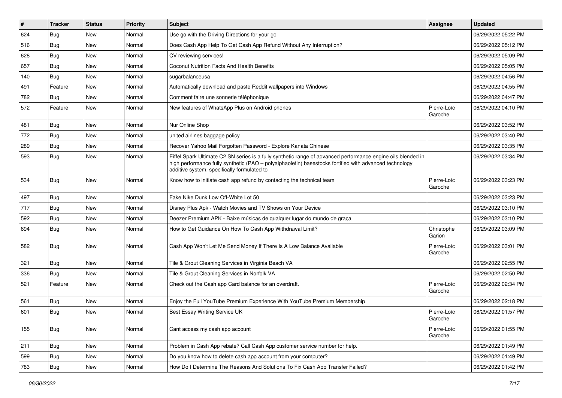| $\sharp$ | <b>Tracker</b> | <b>Status</b> | <b>Priority</b> | Subject                                                                                                                                                                                                                                                               | <b>Assignee</b>        | <b>Updated</b>      |
|----------|----------------|---------------|-----------------|-----------------------------------------------------------------------------------------------------------------------------------------------------------------------------------------------------------------------------------------------------------------------|------------------------|---------------------|
| 624      | <b>Bug</b>     | New           | Normal          | Use go with the Driving Directions for your go                                                                                                                                                                                                                        |                        | 06/29/2022 05:22 PM |
| 516      | Bug            | <b>New</b>    | Normal          | Does Cash App Help To Get Cash App Refund Without Any Interruption?                                                                                                                                                                                                   |                        | 06/29/2022 05:12 PM |
| 628      | Bug            | New           | Normal          | CV reviewing services!                                                                                                                                                                                                                                                |                        | 06/29/2022 05:09 PM |
| 657      | Bug            | New           | Normal          | Coconut Nutrition Facts And Health Benefits                                                                                                                                                                                                                           |                        | 06/29/2022 05:05 PM |
| 140      | <b>Bug</b>     | New           | Normal          | sugarbalanceusa                                                                                                                                                                                                                                                       |                        | 06/29/2022 04:56 PM |
| 491      | Feature        | New           | Normal          | Automatically download and paste Reddit wallpapers into Windows                                                                                                                                                                                                       |                        | 06/29/2022 04:55 PM |
| 782      | <b>Bug</b>     | New           | Normal          | Comment faire une sonnerie téléphonique                                                                                                                                                                                                                               |                        | 06/29/2022 04:47 PM |
| 572      | Feature        | New           | Normal          | New features of WhatsApp Plus on Android phones                                                                                                                                                                                                                       | Pierre-Loïc<br>Garoche | 06/29/2022 04:10 PM |
| 481      | Bug            | New           | Normal          | Nur Online Shop                                                                                                                                                                                                                                                       |                        | 06/29/2022 03:52 PM |
| 772      | <b>Bug</b>     | New           | Normal          | united airlines baggage policy                                                                                                                                                                                                                                        |                        | 06/29/2022 03:40 PM |
| 289      | Bug            | New           | Normal          | Recover Yahoo Mail Forgotten Password - Explore Kanata Chinese                                                                                                                                                                                                        |                        | 06/29/2022 03:35 PM |
| 593      | <b>Bug</b>     | New           | Normal          | Eiffel Spark Ultimate C2 SN series is a fully synthetic range of advanced performance engine oils blended in<br>high performance fully synthetic (PAO - polyalphaolefin) basestocks fortified with advanced technology<br>additive system, specifically formulated to |                        | 06/29/2022 03:34 PM |
| 534      | <b>Bug</b>     | New           | Normal          | Know how to initiate cash app refund by contacting the technical team                                                                                                                                                                                                 | Pierre-Loïc<br>Garoche | 06/29/2022 03:23 PM |
| 497      | <b>Bug</b>     | <b>New</b>    | Normal          | Fake Nike Dunk Low Off-White Lot 50                                                                                                                                                                                                                                   |                        | 06/29/2022 03:23 PM |
| 717      | Bug            | New           | Normal          | Disney Plus Apk - Watch Movies and TV Shows on Your Device                                                                                                                                                                                                            |                        | 06/29/2022 03:10 PM |
| 592      | <b>Bug</b>     | New           | Normal          | Deezer Premium APK - Baixe músicas de qualquer lugar do mundo de graça                                                                                                                                                                                                |                        | 06/29/2022 03:10 PM |
| 694      | Bug            | New           | Normal          | How to Get Guidance On How To Cash App Withdrawal Limit?                                                                                                                                                                                                              | Christophe<br>Garion   | 06/29/2022 03:09 PM |
| 582      | Bug            | New           | Normal          | Cash App Won't Let Me Send Money If There Is A Low Balance Available                                                                                                                                                                                                  | Pierre-Loïc<br>Garoche | 06/29/2022 03:01 PM |
| 321      | <b>Bug</b>     | New           | Normal          | Tile & Grout Cleaning Services in Virginia Beach VA                                                                                                                                                                                                                   |                        | 06/29/2022 02:55 PM |
| 336      | <b>Bug</b>     | New           | Normal          | Tile & Grout Cleaning Services in Norfolk VA                                                                                                                                                                                                                          |                        | 06/29/2022 02:50 PM |
| 521      | Feature        | New           | Normal          | Check out the Cash app Card balance for an overdraft.                                                                                                                                                                                                                 | Pierre-Loïc<br>Garoche | 06/29/2022 02:34 PM |
| 561      | Bug            | New           | Normal          | Enjoy the Full YouTube Premium Experience With YouTube Premium Membership                                                                                                                                                                                             |                        | 06/29/2022 02:18 PM |
| 601      | <b>Bug</b>     | New           | Normal          | Best Essay Writing Service UK                                                                                                                                                                                                                                         | Pierre-Loïc<br>Garoche | 06/29/2022 01:57 PM |
| 155      | <b>Bug</b>     | New           | Normal          | Cant access my cash app account                                                                                                                                                                                                                                       | Pierre-Loïc<br>Garoche | 06/29/2022 01:55 PM |
| 211      | <b>Bug</b>     | New           | Normal          | Problem in Cash App rebate? Call Cash App customer service number for help.                                                                                                                                                                                           |                        | 06/29/2022 01:49 PM |
| 599      | Bug            | New           | Normal          | Do you know how to delete cash app account from your computer?                                                                                                                                                                                                        |                        | 06/29/2022 01:49 PM |
| 783      | Bug            | New           | Normal          | How Do I Determine The Reasons And Solutions To Fix Cash App Transfer Failed?                                                                                                                                                                                         |                        | 06/29/2022 01:42 PM |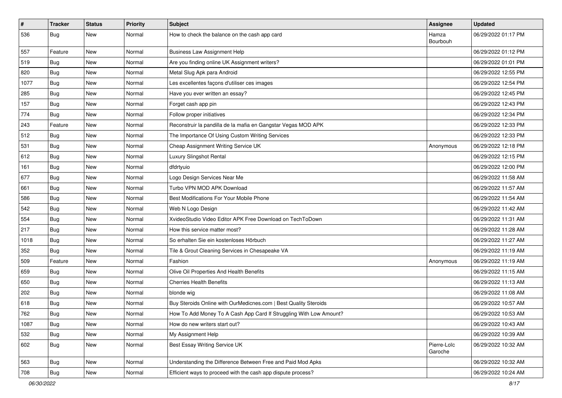| $\pmb{\#}$ | <b>Tracker</b> | <b>Status</b> | <b>Priority</b> | <b>Subject</b>                                                     | <b>Assignee</b>        | <b>Updated</b>      |
|------------|----------------|---------------|-----------------|--------------------------------------------------------------------|------------------------|---------------------|
| 536        | Bug            | New           | Normal          | How to check the balance on the cash app card                      | Hamza<br>Bourbouh      | 06/29/2022 01:17 PM |
| 557        | Feature        | New           | Normal          | <b>Business Law Assignment Help</b>                                |                        | 06/29/2022 01:12 PM |
| 519        | Bug            | New           | Normal          | Are you finding online UK Assignment writers?                      |                        | 06/29/2022 01:01 PM |
| 820        | Bug            | <b>New</b>    | Normal          | Metal Slug Apk para Android                                        |                        | 06/29/2022 12:55 PM |
| 1077       | <b>Bug</b>     | New           | Normal          | Les excellentes façons d'utiliser ces images                       |                        | 06/29/2022 12:54 PM |
| 285        | <b>Bug</b>     | New           | Normal          | Have you ever written an essay?                                    |                        | 06/29/2022 12:45 PM |
| 157        | Bug            | New           | Normal          | Forget cash app pin                                                |                        | 06/29/2022 12:43 PM |
| 774        | Bug            | New           | Normal          | Follow proper initiatives                                          |                        | 06/29/2022 12:34 PM |
| 243        | Feature        | New           | Normal          | Reconstruir la pandilla de la mafia en Gangstar Vegas MOD APK      |                        | 06/29/2022 12:33 PM |
| 512        | <b>Bug</b>     | New           | Normal          | The Importance Of Using Custom Writing Services                    |                        | 06/29/2022 12:33 PM |
| 531        | Bug            | New           | Normal          | Cheap Assignment Writing Service UK                                | Anonymous              | 06/29/2022 12:18 PM |
| 612        | Bug            | New           | Normal          | Luxury Slingshot Rental                                            |                        | 06/29/2022 12:15 PM |
| 161        | <b>Bug</b>     | New           | Normal          | dfdrtyuio                                                          |                        | 06/29/2022 12:00 PM |
| 677        | Bug            | New           | Normal          | Logo Design Services Near Me                                       |                        | 06/29/2022 11:58 AM |
| 661        | Bug            | New           | Normal          | Turbo VPN MOD APK Download                                         |                        | 06/29/2022 11:57 AM |
| 586        | <b>Bug</b>     | New           | Normal          | Best Modifications For Your Mobile Phone                           |                        | 06/29/2022 11:54 AM |
| 542        | Bug            | New           | Normal          | Web N Logo Design                                                  |                        | 06/29/2022 11:42 AM |
| 554        | <b>Bug</b>     | New           | Normal          | XvideoStudio Video Editor APK Free Download on TechToDown          |                        | 06/29/2022 11:31 AM |
| 217        | Bug            | New           | Normal          | How this service matter most?                                      |                        | 06/29/2022 11:28 AM |
| 1018       | Bug            | New           | Normal          | So erhalten Sie ein kostenloses Hörbuch                            |                        | 06/29/2022 11:27 AM |
| 352        | Bug            | New           | Normal          | Tile & Grout Cleaning Services in Chesapeake VA                    |                        | 06/29/2022 11:19 AM |
| 509        | Feature        | New           | Normal          | Fashion                                                            | Anonymous              | 06/29/2022 11:19 AM |
| 659        | Bug            | New           | Normal          | Olive Oil Properties And Health Benefits                           |                        | 06/29/2022 11:15 AM |
| 650        | Bug            | New           | Normal          | <b>Cherries Health Benefits</b>                                    |                        | 06/29/2022 11:13 AM |
| 202        | Bug            | New           | Normal          | blonde wig                                                         |                        | 06/29/2022 11:08 AM |
| 618        | <b>Bug</b>     | New           | Normal          | Buy Steroids Online with OurMedicnes.com   Best Quality Steroids   |                        | 06/29/2022 10:57 AM |
| 762        | <b>Bug</b>     | New           | Normal          | How To Add Money To A Cash App Card If Struggling With Low Amount? |                        | 06/29/2022 10:53 AM |
| 1087       | Bug            | New           | Normal          | How do new writers start out?                                      |                        | 06/29/2022 10:43 AM |
| 532        | Bug            | New           | Normal          | My Assignment Help                                                 |                        | 06/29/2022 10:39 AM |
| 602        | <b>Bug</b>     | New           | Normal          | Best Essay Writing Service UK                                      | Pierre-Loïc<br>Garoche | 06/29/2022 10:32 AM |
| 563        | <b>Bug</b>     | New           | Normal          | Understanding the Difference Between Free and Paid Mod Apks        |                        | 06/29/2022 10:32 AM |
| 708        | <b>Bug</b>     | New           | Normal          | Efficient ways to proceed with the cash app dispute process?       |                        | 06/29/2022 10:24 AM |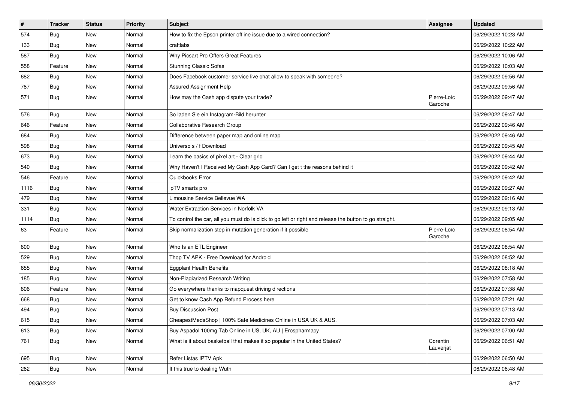| $\pmb{\#}$ | <b>Tracker</b> | <b>Status</b> | <b>Priority</b> | Subject                                                                                                 | Assignee               | <b>Updated</b>      |
|------------|----------------|---------------|-----------------|---------------------------------------------------------------------------------------------------------|------------------------|---------------------|
| 574        | <b>Bug</b>     | New           | Normal          | How to fix the Epson printer offline issue due to a wired connection?                                   |                        | 06/29/2022 10:23 AM |
| 133        | Bug            | <b>New</b>    | Normal          | craftlabs                                                                                               |                        | 06/29/2022 10:22 AM |
| 587        | <b>Bug</b>     | New           | Normal          | Why Picsart Pro Offers Great Features                                                                   |                        | 06/29/2022 10:06 AM |
| 558        | Feature        | New           | Normal          | <b>Stunning Classic Sofas</b>                                                                           |                        | 06/29/2022 10:03 AM |
| 682        | <b>Bug</b>     | New           | Normal          | Does Facebook customer service live chat allow to speak with someone?                                   |                        | 06/29/2022 09:56 AM |
| 787        | <b>Bug</b>     | New           | Normal          | Assured Assignment Help                                                                                 |                        | 06/29/2022 09:56 AM |
| 571        | <b>Bug</b>     | New           | Normal          | How may the Cash app dispute your trade?                                                                | Pierre-Loïc<br>Garoche | 06/29/2022 09:47 AM |
| 576        | Bug            | New           | Normal          | So laden Sie ein Instagram-Bild herunter                                                                |                        | 06/29/2022 09:47 AM |
| 646        | Feature        | <b>New</b>    | Normal          | Collaborative Research Group                                                                            |                        | 06/29/2022 09:46 AM |
| 684        | Bug            | New           | Normal          | Difference between paper map and online map                                                             |                        | 06/29/2022 09:46 AM |
| 598        | <b>Bug</b>     | New           | Normal          | Universo s / f Download                                                                                 |                        | 06/29/2022 09:45 AM |
| 673        | Bug            | New           | Normal          | Learn the basics of pixel art - Clear grid                                                              |                        | 06/29/2022 09:44 AM |
| 540        | Bug            | New           | Normal          | Why Haven't I Received My Cash App Card? Can I get t the reasons behind it                              |                        | 06/29/2022 09:42 AM |
| 546        | Feature        | <b>New</b>    | Normal          | Quickbooks Error                                                                                        |                        | 06/29/2022 09:42 AM |
| 1116       | Bug            | New           | Normal          | ipTV smarts pro                                                                                         |                        | 06/29/2022 09:27 AM |
| 479        | <b>Bug</b>     | New           | Normal          | Limousine Service Bellevue WA                                                                           |                        | 06/29/2022 09:16 AM |
| 331        | Bug            | New           | Normal          | Water Extraction Services in Norfolk VA                                                                 |                        | 06/29/2022 09:13 AM |
| 1114       | <b>Bug</b>     | New           | Normal          | To control the car, all you must do is click to go left or right and release the button to go straight. |                        | 06/29/2022 09:05 AM |
| 63         | Feature        | New           | Normal          | Skip normalization step in mutation generation if it possible                                           | Pierre-Loïc<br>Garoche | 06/29/2022 08:54 AM |
| 800        | Bug            | New           | Normal          | Who Is an ETL Engineer                                                                                  |                        | 06/29/2022 08:54 AM |
| 529        | Bug            | New           | Normal          | Thop TV APK - Free Download for Android                                                                 |                        | 06/29/2022 08:52 AM |
| 655        | Bug            | New           | Normal          | <b>Eggplant Health Benefits</b>                                                                         |                        | 06/29/2022 08:18 AM |
| 185        | <b>Bug</b>     | New           | Normal          | Non-Plagiarized Research Writing                                                                        |                        | 06/29/2022 07:58 AM |
| 806        | Feature        | New           | Normal          | Go everywhere thanks to mapquest driving directions                                                     |                        | 06/29/2022 07:38 AM |
| 668        | <b>Bug</b>     | New           | Normal          | Get to know Cash App Refund Process here                                                                |                        | 06/29/2022 07:21 AM |
| 494        | Bug            | New           | Normal          | <b>Buy Discussion Post</b>                                                                              |                        | 06/29/2022 07:13 AM |
| 615        | Bug            | New           | Normal          | CheapestMedsShop   100% Safe Medicines Online in USA UK & AUS.                                          |                        | 06/29/2022 07:03 AM |
| 613        | Bug            | New           | Normal          | Buy Aspadol 100mg Tab Online in US, UK, AU   Erospharmacy                                               |                        | 06/29/2022 07:00 AM |
| 761        | Bug            | New           | Normal          | What is it about basketball that makes it so popular in the United States?                              | Corentin<br>Lauverjat  | 06/29/2022 06:51 AM |
| 695        | Bug            | New           | Normal          | Refer Listas IPTV Apk                                                                                   |                        | 06/29/2022 06:50 AM |
| 262        | Bug            | New           | Normal          | It this true to dealing Wuth                                                                            |                        | 06/29/2022 06:48 AM |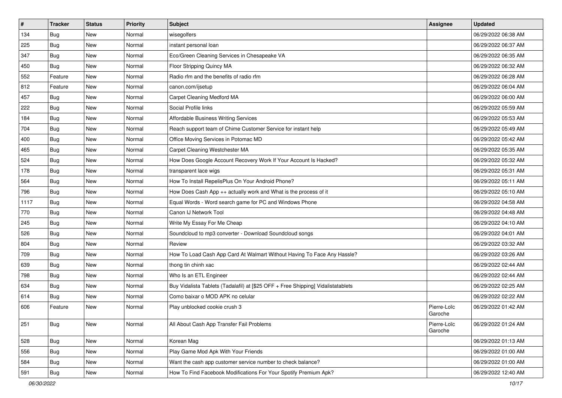| $\vert$ # | <b>Tracker</b> | <b>Status</b> | <b>Priority</b> | Subject                                                                          | <b>Assignee</b>        | <b>Updated</b>      |
|-----------|----------------|---------------|-----------------|----------------------------------------------------------------------------------|------------------------|---------------------|
| 134       | Bug            | New           | Normal          | wisegolfers                                                                      |                        | 06/29/2022 06:38 AM |
| 225       | Bug            | <b>New</b>    | Normal          | instant personal loan                                                            |                        | 06/29/2022 06:37 AM |
| 347       | Bug            | New           | Normal          | Eco/Green Cleaning Services in Chesapeake VA                                     |                        | 06/29/2022 06:35 AM |
| 450       | Bug            | <b>New</b>    | Normal          | Floor Stripping Quincy MA                                                        |                        | 06/29/2022 06:32 AM |
| 552       | Feature        | <b>New</b>    | Normal          | Radio rfm and the benefits of radio rfm                                          |                        | 06/29/2022 06:28 AM |
| 812       | Feature        | New           | Normal          | canon.com/ijsetup                                                                |                        | 06/29/2022 06:04 AM |
| 457       | Bug            | <b>New</b>    | Normal          | Carpet Cleaning Medford MA                                                       |                        | 06/29/2022 06:00 AM |
| 222       | Bug            | New           | Normal          | Social Profile links                                                             |                        | 06/29/2022 05:59 AM |
| 184       | Bug            | <b>New</b>    | Normal          | <b>Affordable Business Writing Services</b>                                      |                        | 06/29/2022 05:53 AM |
| 704       | Bug            | <b>New</b>    | Normal          | Reach support team of Chime Customer Service for instant help                    |                        | 06/29/2022 05:49 AM |
| 400       | <b>Bug</b>     | New           | Normal          | Office Moving Services in Potomac MD                                             |                        | 06/29/2022 05:42 AM |
| 465       | Bug            | <b>New</b>    | Normal          | Carpet Cleaning Westchester MA                                                   |                        | 06/29/2022 05:35 AM |
| 524       | Bug            | New           | Normal          | How Does Google Account Recovery Work If Your Account Is Hacked?                 |                        | 06/29/2022 05:32 AM |
| 178       | Bug            | <b>New</b>    | Normal          | transparent lace wigs                                                            |                        | 06/29/2022 05:31 AM |
| 564       | Bug            | <b>New</b>    | Normal          | How To Install RepelisPlus On Your Android Phone?                                |                        | 06/29/2022 05:11 AM |
| 796       | <b>Bug</b>     | New           | Normal          | How Does Cash App ++ actually work and What is the process of it                 |                        | 06/29/2022 05:10 AM |
| 1117      | Bug            | New           | Normal          | Equal Words - Word search game for PC and Windows Phone                          |                        | 06/29/2022 04:58 AM |
| 770       | <b>Bug</b>     | <b>New</b>    | Normal          | Canon IJ Network Tool                                                            |                        | 06/29/2022 04:48 AM |
| 245       | Bug            | New           | Normal          | Write My Essay For Me Cheap                                                      |                        | 06/29/2022 04:10 AM |
| 526       | Bug            | <b>New</b>    | Normal          | Soundcloud to mp3 converter - Download Soundcloud songs                          |                        | 06/29/2022 04:01 AM |
| 804       | Bug            | New           | Normal          | Review                                                                           |                        | 06/29/2022 03:32 AM |
| 709       | Bug            | <b>New</b>    | Normal          | How To Load Cash App Card At Walmart Without Having To Face Any Hassle?          |                        | 06/29/2022 03:26 AM |
| 639       | Bug            | <b>New</b>    | Normal          | thong tin chinh xac                                                              |                        | 06/29/2022 02:44 AM |
| 798       | <b>Bug</b>     | New           | Normal          | Who Is an ETL Engineer                                                           |                        | 06/29/2022 02:44 AM |
| 634       | Bug            | <b>New</b>    | Normal          | Buy Vidalista Tablets (Tadalafil) at [\$25 OFF + Free Shipping] Vidalistatablets |                        | 06/29/2022 02:25 AM |
| 614       | Bug            | New           | Normal          | Como baixar o MOD APK no celular                                                 |                        | 06/29/2022 02:22 AM |
| 606       | Feature        | New           | Normal          | Play unblocked cookie crush 3                                                    | Pierre-Loïc<br>Garoche | 06/29/2022 01:42 AM |
| 251       | <b>Bug</b>     | New           | Normal          | All About Cash App Transfer Fail Problems                                        | Pierre-Loïc<br>Garoche | 06/29/2022 01:24 AM |
| 528       | Bug            | New           | Normal          | Korean Mag                                                                       |                        | 06/29/2022 01:13 AM |
| 556       | <b>Bug</b>     | New           | Normal          | Play Game Mod Apk With Your Friends                                              |                        | 06/29/2022 01:00 AM |
| 584       | <b>Bug</b>     | New           | Normal          | Want the cash app customer service number to check balance?                      |                        | 06/29/2022 01:00 AM |
| 591       | <b>Bug</b>     | New           | Normal          | How To Find Facebook Modifications For Your Spotify Premium Apk?                 |                        | 06/29/2022 12:40 AM |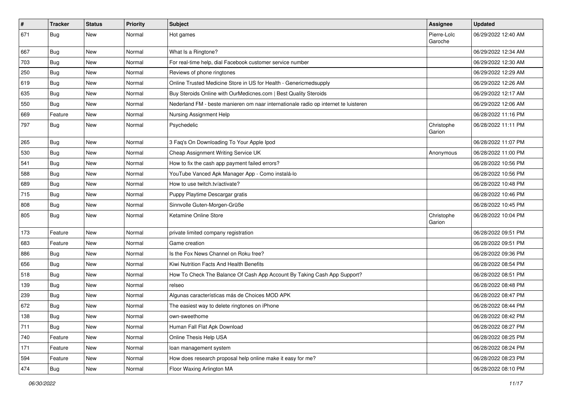| $\vert$ # | <b>Tracker</b> | <b>Status</b> | <b>Priority</b> | Subject                                                                             | <b>Assignee</b>        | <b>Updated</b>      |
|-----------|----------------|---------------|-----------------|-------------------------------------------------------------------------------------|------------------------|---------------------|
| 671       | <b>Bug</b>     | New           | Normal          | Hot games                                                                           | Pierre-Loïc<br>Garoche | 06/29/2022 12:40 AM |
| 667       | Bug            | New           | Normal          | What Is a Ringtone?                                                                 |                        | 06/29/2022 12:34 AM |
| 703       | <b>Bug</b>     | <b>New</b>    | Normal          | For real-time help, dial Facebook customer service number                           |                        | 06/29/2022 12:30 AM |
| 250       | Bug            | <b>New</b>    | Normal          | Reviews of phone ringtones                                                          |                        | 06/29/2022 12:29 AM |
| 619       | <b>Bug</b>     | New           | Normal          | Online Trusted Medicine Store in US for Health - Genericmedsupply                   |                        | 06/29/2022 12:26 AM |
| 635       | <b>Bug</b>     | <b>New</b>    | Normal          | Buy Steroids Online with OurMedicnes.com   Best Quality Steroids                    |                        | 06/29/2022 12:17 AM |
| 550       | Bug            | <b>New</b>    | Normal          | Nederland FM - beste manieren om naar internationale radio op internet te luisteren |                        | 06/29/2022 12:06 AM |
| 669       | Feature        | <b>New</b>    | Normal          | Nursing Assignment Help                                                             |                        | 06/28/2022 11:16 PM |
| 797       | Bug            | New           | Normal          | Psychedelic                                                                         | Christophe<br>Garion   | 06/28/2022 11:11 PM |
| 265       | Bug            | <b>New</b>    | Normal          | 3 Faq's On Downloading To Your Apple Ipod                                           |                        | 06/28/2022 11:07 PM |
| 530       | Bug            | <b>New</b>    | Normal          | Cheap Assignment Writing Service UK                                                 | Anonymous              | 06/28/2022 11:00 PM |
| 541       | Bug            | New           | Normal          | How to fix the cash app payment failed errors?                                      |                        | 06/28/2022 10:56 PM |
| 588       | Bug            | <b>New</b>    | Normal          | YouTube Vanced Apk Manager App - Como instalá-lo                                    |                        | 06/28/2022 10:56 PM |
| 689       | Bug            | New           | Normal          | How to use twitch.tv/activate?                                                      |                        | 06/28/2022 10:48 PM |
| 715       | Bug            | New           | Normal          | Puppy Playtime Descargar gratis                                                     |                        | 06/28/2022 10:46 PM |
| 808       | Bug            | <b>New</b>    | Normal          | Sinnvolle Guten-Morgen-Grüße                                                        |                        | 06/28/2022 10:45 PM |
| 805       | Bug            | New           | Normal          | Ketamine Online Store                                                               | Christophe<br>Garion   | 06/28/2022 10:04 PM |
| 173       | Feature        | <b>New</b>    | Normal          | private limited company registration                                                |                        | 06/28/2022 09:51 PM |
| 683       | Feature        | New           | Normal          | Game creation                                                                       |                        | 06/28/2022 09:51 PM |
| 886       | <b>Bug</b>     | <b>New</b>    | Normal          | Is the Fox News Channel on Roku free?                                               |                        | 06/28/2022 09:36 PM |
| 656       | Bug            | New           | Normal          | Kiwi Nutrition Facts And Health Benefits                                            |                        | 06/28/2022 08:54 PM |
| 518       | Bug            | New           | Normal          | How To Check The Balance Of Cash App Account By Taking Cash App Support?            |                        | 06/28/2022 08:51 PM |
| 139       | Bug            | <b>New</b>    | Normal          | relseo                                                                              |                        | 06/28/2022 08:48 PM |
| 239       | Bug            | New           | Normal          | Algunas características más de Choices MOD APK                                      |                        | 06/28/2022 08:47 PM |
| 672       | <b>Bug</b>     | New           | Normal          | The easiest way to delete ringtones on iPhone                                       |                        | 06/28/2022 08:44 PM |
| 138       | Bug            | New           | Normal          | own-sweethome                                                                       |                        | 06/28/2022 08:42 PM |
| 711       | Bug            | New           | Normal          | Human Fall Flat Apk Download                                                        |                        | 06/28/2022 08:27 PM |
| 740       | Feature        | New           | Normal          | Online Thesis Help USA                                                              |                        | 06/28/2022 08:25 PM |
| 171       | Feature        | New           | Normal          | loan management system                                                              |                        | 06/28/2022 08:24 PM |
| 594       | Feature        | New           | Normal          | How does research proposal help online make it easy for me?                         |                        | 06/28/2022 08:23 PM |
| 474       | <b>Bug</b>     | New           | Normal          | Floor Waxing Arlington MA                                                           |                        | 06/28/2022 08:10 PM |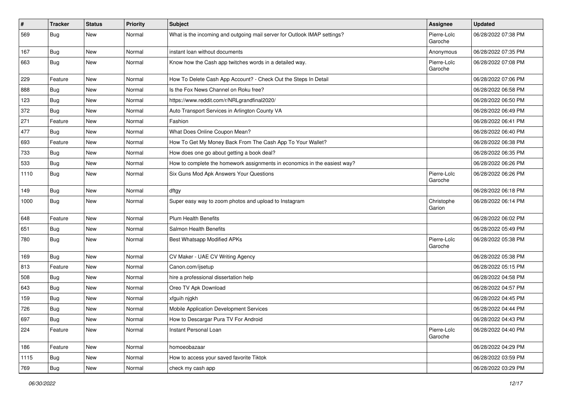| $\vert$ # | <b>Tracker</b> | <b>Status</b> | <b>Priority</b> | <b>Subject</b>                                                            | Assignee               | <b>Updated</b>      |
|-----------|----------------|---------------|-----------------|---------------------------------------------------------------------------|------------------------|---------------------|
| 569       | <b>Bug</b>     | New           | Normal          | What is the incoming and outgoing mail server for Outlook IMAP settings?  | Pierre-Loïc<br>Garoche | 06/28/2022 07:38 PM |
| 167       | Bug            | New           | Normal          | instant loan without documents                                            | Anonymous              | 06/28/2022 07:35 PM |
| 663       | Bug            | New           | Normal          | Know how the Cash app twitches words in a detailed way.                   | Pierre-Loïc<br>Garoche | 06/28/2022 07:08 PM |
| 229       | Feature        | <b>New</b>    | Normal          | How To Delete Cash App Account? - Check Out the Steps In Detail           |                        | 06/28/2022 07:06 PM |
| 888       | Bug            | New           | Normal          | Is the Fox News Channel on Roku free?                                     |                        | 06/28/2022 06:58 PM |
| 123       | <b>Bug</b>     | New           | Normal          | https://www.reddit.com/r/NRLgrandfinal2020/                               |                        | 06/28/2022 06:50 PM |
| 372       | <b>Bug</b>     | New           | Normal          | Auto Transport Services in Arlington County VA                            |                        | 06/28/2022 06:49 PM |
| 271       | Feature        | <b>New</b>    | Normal          | Fashion                                                                   |                        | 06/28/2022 06:41 PM |
| 477       | <b>Bug</b>     | New           | Normal          | What Does Online Coupon Mean?                                             |                        | 06/28/2022 06:40 PM |
| 693       | Feature        | <b>New</b>    | Normal          | How To Get My Money Back From The Cash App To Your Wallet?                |                        | 06/28/2022 06:38 PM |
| 733       | Bug            | <b>New</b>    | Normal          | How does one go about getting a book deal?                                |                        | 06/28/2022 06:35 PM |
| 533       | <b>Bug</b>     | New           | Normal          | How to complete the homework assignments in economics in the easiest way? |                        | 06/28/2022 06:26 PM |
| 1110      | <b>Bug</b>     | New           | Normal          | Six Guns Mod Apk Answers Your Questions                                   | Pierre-Loïc<br>Garoche | 06/28/2022 06:26 PM |
| 149       | Bug            | <b>New</b>    | Normal          | dftgy                                                                     |                        | 06/28/2022 06:18 PM |
| 1000      | <b>Bug</b>     | <b>New</b>    | Normal          | Super easy way to zoom photos and upload to Instagram                     | Christophe<br>Garion   | 06/28/2022 06:14 PM |
| 648       | Feature        | <b>New</b>    | Normal          | <b>Plum Health Benefits</b>                                               |                        | 06/28/2022 06:02 PM |
| 651       | <b>Bug</b>     | <b>New</b>    | Normal          | Salmon Health Benefits                                                    |                        | 06/28/2022 05:49 PM |
| 780       | <b>Bug</b>     | New           | Normal          | <b>Best Whatsapp Modified APKs</b>                                        | Pierre-Loïc<br>Garoche | 06/28/2022 05:38 PM |
| 169       | Bug            | <b>New</b>    | Normal          | CV Maker - UAE CV Writing Agency                                          |                        | 06/28/2022 05:38 PM |
| 813       | Feature        | New           | Normal          | Canon.com/ijsetup                                                         |                        | 06/28/2022 05:15 PM |
| 508       | Bug            | <b>New</b>    | Normal          | hire a professional dissertation help                                     |                        | 06/28/2022 04:58 PM |
| 643       | Bug            | New           | Normal          | Oreo TV Apk Download                                                      |                        | 06/28/2022 04:57 PM |
| 159       | Bug            | New           | Normal          | xfguih njgkh                                                              |                        | 06/28/2022 04:45 PM |
| 726       | <b>Bug</b>     | New           | Normal          | Mobile Application Development Services                                   |                        | 06/28/2022 04:44 PM |
| 697       | <b>Bug</b>     | New           | Normal          | How to Descargar Pura TV For Android                                      |                        | 06/28/2022 04:43 PM |
| 224       | Feature        | New           | Normal          | Instant Personal Loan                                                     | Pierre-Loïc<br>Garoche | 06/28/2022 04:40 PM |
| 186       | Feature        | New           | Normal          | homoeobazaar                                                              |                        | 06/28/2022 04:29 PM |
| 1115      | Bug            | New           | Normal          | How to access your saved favorite Tiktok                                  |                        | 06/28/2022 03:59 PM |
| 769       | <b>Bug</b>     | New           | Normal          | check my cash app                                                         |                        | 06/28/2022 03:29 PM |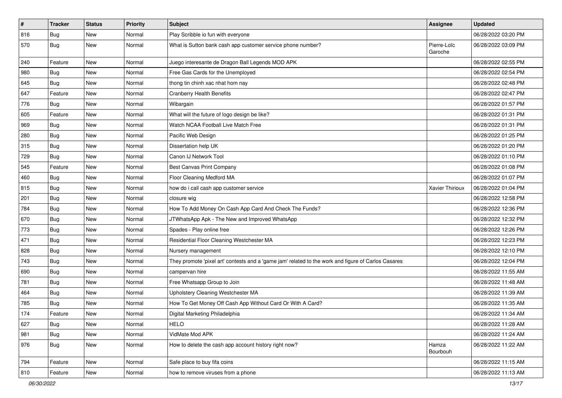| $\pmb{\#}$ | <b>Tracker</b> | <b>Status</b> | <b>Priority</b> | Subject                                                                                             | <b>Assignee</b>        | <b>Updated</b>      |
|------------|----------------|---------------|-----------------|-----------------------------------------------------------------------------------------------------|------------------------|---------------------|
| 816        | Bug            | New           | Normal          | Play Scribble io fun with everyone                                                                  |                        | 06/28/2022 03:20 PM |
| 570        | Bug            | <b>New</b>    | Normal          | What is Sutton bank cash app customer service phone number?                                         | Pierre-Loïc<br>Garoche | 06/28/2022 03:09 PM |
| 240        | Feature        | <b>New</b>    | Normal          | Juego interesante de Dragon Ball Legends MOD APK                                                    |                        | 06/28/2022 02:55 PM |
| 980        | Bug            | <b>New</b>    | Normal          | Free Gas Cards for the Unemployed                                                                   |                        | 06/28/2022 02:54 PM |
| 645        | Bug            | New           | Normal          | thong tin chinh xac nhat hom nay                                                                    |                        | 06/28/2022 02:48 PM |
| 647        | Feature        | <b>New</b>    | Normal          | <b>Cranberry Health Benefits</b>                                                                    |                        | 06/28/2022 02:47 PM |
| 776        | Bug            | New           | Normal          | Wibargain                                                                                           |                        | 06/28/2022 01:57 PM |
| 605        | Feature        | <b>New</b>    | Normal          | What will the future of logo design be like?                                                        |                        | 06/28/2022 01:31 PM |
| 969        | Bug            | <b>New</b>    | Normal          | Watch NCAA Football Live Match Free                                                                 |                        | 06/28/2022 01:31 PM |
| 280        | Bug            | New           | Normal          | Pacific Web Design                                                                                  |                        | 06/28/2022 01:25 PM |
| 315        | Bug            | New           | Normal          | Dissertation help UK                                                                                |                        | 06/28/2022 01:20 PM |
| 729        | Bug            | <b>New</b>    | Normal          | Canon IJ Network Tool                                                                               |                        | 06/28/2022 01:10 PM |
| 545        | Feature        | New           | Normal          | Best Canvas Print Company                                                                           |                        | 06/28/2022 01:08 PM |
| 460        | Bug            | <b>New</b>    | Normal          | Floor Cleaning Medford MA                                                                           |                        | 06/28/2022 01:07 PM |
| 815        | Bug            | New           | Normal          | how do i call cash app customer service                                                             | Xavier Thirioux        | 06/28/2022 01:04 PM |
| 201        | Bug            | New           | Normal          | closure wig                                                                                         |                        | 06/28/2022 12:58 PM |
| 784        | Bug            | <b>New</b>    | Normal          | How To Add Money On Cash App Card And Check The Funds?                                              |                        | 06/28/2022 12:36 PM |
| 670        | Bug            | New           | Normal          | JTWhatsApp Apk - The New and Improved WhatsApp                                                      |                        | 06/28/2022 12:32 PM |
| 773        | Bug            | New           | Normal          | Spades - Play online free                                                                           |                        | 06/28/2022 12:26 PM |
| 471        | Bug            | New           | Normal          | Residential Floor Cleaning Westchester MA                                                           |                        | 06/28/2022 12:23 PM |
| 828        | Bug            | <b>New</b>    | Normal          | Nursery management                                                                                  |                        | 06/28/2022 12:10 PM |
| 743        | Bug            | <b>New</b>    | Normal          | They promote 'pixel art' contests and a 'game jam' related to the work and figure of Carlos Casares |                        | 06/28/2022 12:04 PM |
| 690        | Bug            | New           | Normal          | campervan hire                                                                                      |                        | 06/28/2022 11:55 AM |
| 781        | Bug            | New           | Normal          | Free Whatsapp Group to Join                                                                         |                        | 06/28/2022 11:48 AM |
| 464        | Bug            | <b>New</b>    | Normal          | Upholstery Cleaning Westchester MA                                                                  |                        | 06/28/2022 11:39 AM |
| 785        | Bug            | New           | Normal          | How To Get Money Off Cash App Without Card Or With A Card?                                          |                        | 06/28/2022 11:35 AM |
| 174        | Feature        | New           | Normal          | Digital Marketing Philadelphia                                                                      |                        | 06/28/2022 11:34 AM |
| 627        | Bug            | New           | Normal          | <b>HELO</b>                                                                                         |                        | 06/28/2022 11:28 AM |
| 981        | Bug            | New           | Normal          | VidMate Mod APK                                                                                     |                        | 06/28/2022 11:24 AM |
| 976        | Bug            | New           | Normal          | How to delete the cash app account history right now?                                               | Hamza<br>Bourbouh      | 06/28/2022 11:22 AM |
| 794        | Feature        | <b>New</b>    | Normal          | Safe place to buy fifa coins                                                                        |                        | 06/28/2022 11:15 AM |
| 810        | Feature        | New           | Normal          | how to remove viruses from a phone                                                                  |                        | 06/28/2022 11:13 AM |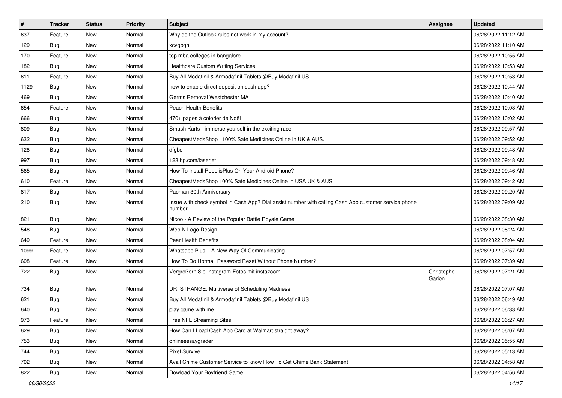| $\sharp$ | <b>Tracker</b> | <b>Status</b> | Priority | Subject                                                                                                         | <b>Assignee</b>      | <b>Updated</b>      |
|----------|----------------|---------------|----------|-----------------------------------------------------------------------------------------------------------------|----------------------|---------------------|
| 637      | Feature        | New           | Normal   | Why do the Outlook rules not work in my account?                                                                |                      | 06/28/2022 11:12 AM |
| 129      | Bug            | <b>New</b>    | Normal   | xcvgbgh                                                                                                         |                      | 06/28/2022 11:10 AM |
| 170      | Feature        | New           | Normal   | top mba colleges in bangalore                                                                                   |                      | 06/28/2022 10:55 AM |
| 182      | Bug            | New           | Normal   | <b>Healthcare Custom Writing Services</b>                                                                       |                      | 06/28/2022 10:53 AM |
| 611      | Feature        | <b>New</b>    | Normal   | Buy All Modafinil & Armodafinil Tablets @Buy Modafinil US                                                       |                      | 06/28/2022 10:53 AM |
| 1129     | Bug            | New           | Normal   | how to enable direct deposit on cash app?                                                                       |                      | 06/28/2022 10:44 AM |
| 469      | Bug            | <b>New</b>    | Normal   | Germs Removal Westchester MA                                                                                    |                      | 06/28/2022 10:40 AM |
| 654      | Feature        | New           | Normal   | <b>Peach Health Benefits</b>                                                                                    |                      | 06/28/2022 10:03 AM |
| 666      | Bug            | New           | Normal   | 470+ pages à colorier de Noël                                                                                   |                      | 06/28/2022 10:02 AM |
| 809      | Bug            | <b>New</b>    | Normal   | Smash Karts - immerse yourself in the exciting race                                                             |                      | 06/28/2022 09:57 AM |
| 632      | <b>Bug</b>     | New           | Normal   | CheapestMedsShop   100% Safe Medicines Online in UK & AUS.                                                      |                      | 06/28/2022 09:52 AM |
| 128      | Bug            | New           | Normal   | dfgbd                                                                                                           |                      | 06/28/2022 09:48 AM |
| 997      | Bug            | New           | Normal   | 123.hp.com/laserjet                                                                                             |                      | 06/28/2022 09:48 AM |
| 565      | Bug            | New           | Normal   | How To Install RepelisPlus On Your Android Phone?                                                               |                      | 06/28/2022 09:46 AM |
| 610      | Feature        | New           | Normal   | CheapestMedsShop 100% Safe Medicines Online in USA UK & AUS.                                                    |                      | 06/28/2022 09:42 AM |
| 817      | Bug            | New           | Normal   | Pacman 30th Anniversary                                                                                         |                      | 06/28/2022 09:20 AM |
| 210      | Bug            | New           | Normal   | Issue with check symbol in Cash App? Dial assist number with calling Cash App customer service phone<br>number. |                      | 06/28/2022 09:09 AM |
| 821      | Bug            | <b>New</b>    | Normal   | Nicoo - A Review of the Popular Battle Royale Game                                                              |                      | 06/28/2022 08:30 AM |
| 548      | Bug            | New           | Normal   | Web N Logo Design                                                                                               |                      | 06/28/2022 08:24 AM |
| 649      | Feature        | New           | Normal   | Pear Health Benefits                                                                                            |                      | 06/28/2022 08:04 AM |
| 1099     | Feature        | New           | Normal   | Whatsapp Plus - A New Way Of Communicating                                                                      |                      | 06/28/2022 07:57 AM |
| 608      | Feature        | <b>New</b>    | Normal   | How To Do Hotmail Password Reset Without Phone Number?                                                          |                      | 06/28/2022 07:39 AM |
| 722      | Bug            | New           | Normal   | Vergrößern Sie Instagram-Fotos mit instazoom                                                                    | Christophe<br>Garion | 06/28/2022 07:21 AM |
| 734      | Bug            | <b>New</b>    | Normal   | DR. STRANGE: Multiverse of Scheduling Madness!                                                                  |                      | 06/28/2022 07:07 AM |
| 621      | Bug            | New           | Normal   | Buy All Modafinil & Armodafinil Tablets @Buy Modafinil US                                                       |                      | 06/28/2022 06:49 AM |
| 640      | <b>Bug</b>     | New           | Normal   | play game with me                                                                                               |                      | 06/28/2022 06:33 AM |
| 973      | Feature        | New           | Normal   | Free NFL Streaming Sites                                                                                        |                      | 06/28/2022 06:27 AM |
| 629      | Bug            | <b>New</b>    | Normal   | How Can I Load Cash App Card at Walmart straight away?                                                          |                      | 06/28/2022 06:07 AM |
| 753      | Bug            | <b>New</b>    | Normal   | onlineessaygrader                                                                                               |                      | 06/28/2022 05:55 AM |
| 744      | Bug            | New           | Normal   | <b>Pixel Survive</b>                                                                                            |                      | 06/28/2022 05:13 AM |
| 702      | Bug            | New           | Normal   | Avail Chime Customer Service to know How To Get Chime Bank Statement                                            |                      | 06/28/2022 04:58 AM |
| 822      | <b>Bug</b>     | New           | Normal   | Dowload Your Boyfriend Game                                                                                     |                      | 06/28/2022 04:56 AM |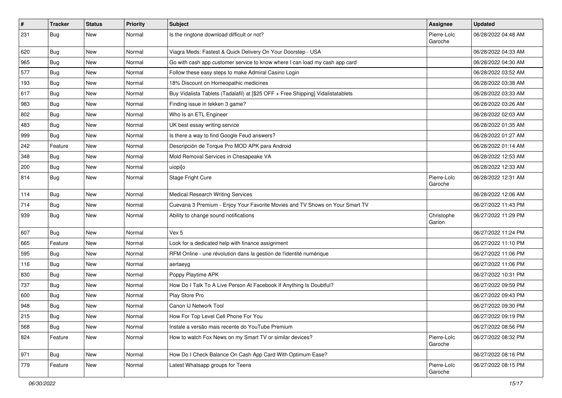| $\vert$ # | <b>Tracker</b> | <b>Status</b> | <b>Priority</b> | <b>Subject</b>                                                                   | Assignee               | <b>Updated</b>      |
|-----------|----------------|---------------|-----------------|----------------------------------------------------------------------------------|------------------------|---------------------|
| 231       | Bug            | New           | Normal          | Is the ringtone download difficult or not?                                       | Pierre-Loïc<br>Garoche | 06/28/2022 04:48 AM |
| 620       | Bug            | New           | Normal          | Viagra Meds: Fastest & Quick Delivery On Your Doorstep - USA                     |                        | 06/28/2022 04:33 AM |
| 965       | Bug            | New           | Normal          | Go with cash app customer service to know where I can load my cash app card      |                        | 06/28/2022 04:30 AM |
| 577       | Bug            | New           | Normal          | Follow these easy steps to make Admiral Casino Login                             |                        | 06/28/2022 03:52 AM |
| 193       | Bug            | New           | Normal          | 18% Discount on Homeopathic medicines                                            |                        | 06/28/2022 03:38 AM |
| 617       | <b>Bug</b>     | <b>New</b>    | Normal          | Buy Vidalista Tablets (Tadalafil) at [\$25 OFF + Free Shipping] Vidalistatablets |                        | 06/28/2022 03:33 AM |
| 983       | Bug            | New           | Normal          | Finding issue in tekken 3 game?                                                  |                        | 06/28/2022 03:26 AM |
| 802       | Bug            | New           | Normal          | Who Is an ETL Engineer                                                           |                        | 06/28/2022 02:03 AM |
| 483       | Bug            | New           | Normal          | UK best essay writing service                                                    |                        | 06/28/2022 01:35 AM |
| 999       | Bug            | New           | Normal          | Is there a way to find Google Feud answers?                                      |                        | 06/28/2022 01:27 AM |
| 242       | Feature        | New           | Normal          | Descripción de Torque Pro MOD APK para Android                                   |                        | 06/28/2022 01:14 AM |
| 348       | <b>Bug</b>     | New           | Normal          | Mold Removal Services in Chesapeake VA                                           |                        | 06/28/2022 12:53 AM |
| 200       | <b>Bug</b>     | New           | Normal          | uiopi[o                                                                          |                        | 06/28/2022 12:33 AM |
| 814       | Bug            | New           | Normal          | Stage Fright Cure                                                                | Pierre-Loïc<br>Garoche | 06/28/2022 12:31 AM |
| 114       | Bug            | New           | Normal          | <b>Medical Research Writing Services</b>                                         |                        | 06/28/2022 12:06 AM |
| 714       | Bug            | New           | Normal          | Cuevana 3 Premium - Enjoy Your Favorite Movies and TV Shows on Your Smart TV     |                        | 06/27/2022 11:43 PM |
| 939       | <b>Bug</b>     | New           | Normal          | Ability to change sound notifications                                            | Christophe<br>Garion   | 06/27/2022 11:29 PM |
| 607       | Bug            | New           | Normal          | Vex 5                                                                            |                        | 06/27/2022 11:24 PM |
| 665       | Feature        | New           | Normal          | Look for a dedicated help with finance assignment                                |                        | 06/27/2022 11:10 PM |
| 595       | Bug            | New           | Normal          | RFM Online - une révolution dans la gestion de l'identité numérique              |                        | 06/27/2022 11:06 PM |
| 116       | Bug            | New           | Normal          | aertaeyg                                                                         |                        | 06/27/2022 11:06 PM |
| 830       | Bug            | New           | Normal          | Poppy Playtime APK                                                               |                        | 06/27/2022 10:31 PM |
| 737       | <b>Bug</b>     | New           | Normal          | How Do I Talk To A Live Person At Facebook If Anything Is Doubtful?              |                        | 06/27/2022 09:59 PM |
| 600       | Bug            | New           | Normal          | Play Store Pro                                                                   |                        | 06/27/2022 09:43 PM |
| 948       | <b>Bug</b>     | New           | Normal          | Canon IJ Network Tool                                                            |                        | 06/27/2022 09:30 PM |
| 215       | Bug            | New           | Normal          | How For Top Level Cell Phone For You                                             |                        | 06/27/2022 09:19 PM |
| 568       | Bug            | New           | Normal          | Instale a versão mais recente do YouTube Premium                                 |                        | 06/27/2022 08:56 PM |
| 824       | Feature        | New           | Normal          | How to watch Fox News on my Smart TV or similar devices?                         | Pierre-Loïc<br>Garoche | 06/27/2022 08:32 PM |
| 971       | Bug            | New           | Normal          | How Do I Check Balance On Cash App Card With Optimum Ease?                       |                        | 06/27/2022 08:16 PM |
| 779       | Feature        | New           | Normal          | Latest Whatsapp groups for Teens                                                 | Pierre-Loïc<br>Garoche | 06/27/2022 08:15 PM |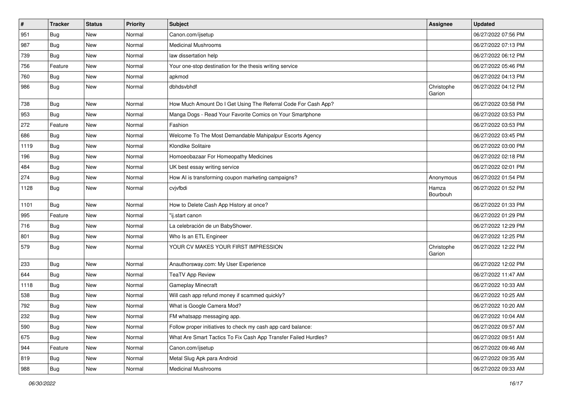| #    | <b>Tracker</b> | <b>Status</b> | <b>Priority</b> | <b>Subject</b>                                                  | <b>Assignee</b>      | <b>Updated</b>      |
|------|----------------|---------------|-----------------|-----------------------------------------------------------------|----------------------|---------------------|
| 951  | <b>Bug</b>     | New           | Normal          | Canon.com/ijsetup                                               |                      | 06/27/2022 07:56 PM |
| 987  | Bug            | <b>New</b>    | Normal          | <b>Medicinal Mushrooms</b>                                      |                      | 06/27/2022 07:13 PM |
| 739  | <b>Bug</b>     | New           | Normal          | law dissertation help                                           |                      | 06/27/2022 06:12 PM |
| 756  | Feature        | New           | Normal          | Your one-stop destination for the thesis writing service        |                      | 06/27/2022 05:46 PM |
| 760  | <b>Bug</b>     | <b>New</b>    | Normal          | apkmod                                                          |                      | 06/27/2022 04:13 PM |
| 986  | Bug            | New           | Normal          | dbhdsvbhdf                                                      | Christophe<br>Garion | 06/27/2022 04:12 PM |
| 738  | Bug            | New           | Normal          | How Much Amount Do I Get Using The Referral Code For Cash App?  |                      | 06/27/2022 03:58 PM |
| 953  | <b>Bug</b>     | <b>New</b>    | Normal          | Manga Dogs - Read Your Favorite Comics on Your Smartphone       |                      | 06/27/2022 03:53 PM |
| 272  | Feature        | New           | Normal          | Fashion                                                         |                      | 06/27/2022 03:53 PM |
| 686  | Bug            | New           | Normal          | Welcome To The Most Demandable Mahipalpur Escorts Agency        |                      | 06/27/2022 03:45 PM |
| 1119 | Bug            | <b>New</b>    | Normal          | Klondike Solitaire                                              |                      | 06/27/2022 03:00 PM |
| 196  | Bug            | <b>New</b>    | Normal          | Homoeobazaar For Homeopathy Medicines                           |                      | 06/27/2022 02:18 PM |
| 484  | Bug            | New           | Normal          | UK best essay writing service                                   |                      | 06/27/2022 02:01 PM |
| 274  | Bug            | <b>New</b>    | Normal          | How AI is transforming coupon marketing campaigns?              | Anonymous            | 06/27/2022 01:54 PM |
| 1128 | Bug            | New           | Normal          | cvjvfbdi                                                        | Hamza<br>Bourbouh    | 06/27/2022 01:52 PM |
| 1101 | Bug            | New           | Normal          | How to Delete Cash App History at once?                         |                      | 06/27/2022 01:33 PM |
| 995  | Feature        | New           | Normal          | "ij.start canon                                                 |                      | 06/27/2022 01:29 PM |
| 716  | Bug            | <b>New</b>    | Normal          | La celebración de un BabyShower.                                |                      | 06/27/2022 12:29 PM |
| 801  | Bug            | New           | Normal          | Who Is an ETL Engineer                                          |                      | 06/27/2022 12:25 PM |
| 579  | <b>Bug</b>     | New           | Normal          | YOUR CV MAKES YOUR FIRST IMPRESSION                             | Christophe<br>Garion | 06/27/2022 12:22 PM |
| 233  | Bug            | <b>New</b>    | Normal          | Anauthorsway.com: My User Experience                            |                      | 06/27/2022 12:02 PM |
| 644  | Bug            | New           | Normal          | <b>TeaTV App Review</b>                                         |                      | 06/27/2022 11:47 AM |
| 1118 | Bug            | <b>New</b>    | Normal          | <b>Gameplay Minecraft</b>                                       |                      | 06/27/2022 10:33 AM |
| 538  | Bug            | New           | Normal          | Will cash app refund money if scammed quickly?                  |                      | 06/27/2022 10:25 AM |
| 792  | <b>Bug</b>     | <b>New</b>    | Normal          | What is Google Camera Mod?                                      |                      | 06/27/2022 10:20 AM |
| 232  | Bug            | New           | Normal          | FM whatsapp messaging app.                                      |                      | 06/27/2022 10:04 AM |
| 590  | Bug            | New           | Normal          | Follow proper initiatives to check my cash app card balance:    |                      | 06/27/2022 09:57 AM |
| 675  | Bug            | New           | Normal          | What Are Smart Tactics To Fix Cash App Transfer Failed Hurdles? |                      | 06/27/2022 09:51 AM |
| 944  | Feature        | New           | Normal          | Canon.com/ijsetup                                               |                      | 06/27/2022 09:46 AM |
| 819  | Bug            | New           | Normal          | Metal Slug Apk para Android                                     |                      | 06/27/2022 09:35 AM |
| 988  | Bug            | New           | Normal          | <b>Medicinal Mushrooms</b>                                      |                      | 06/27/2022 09:33 AM |